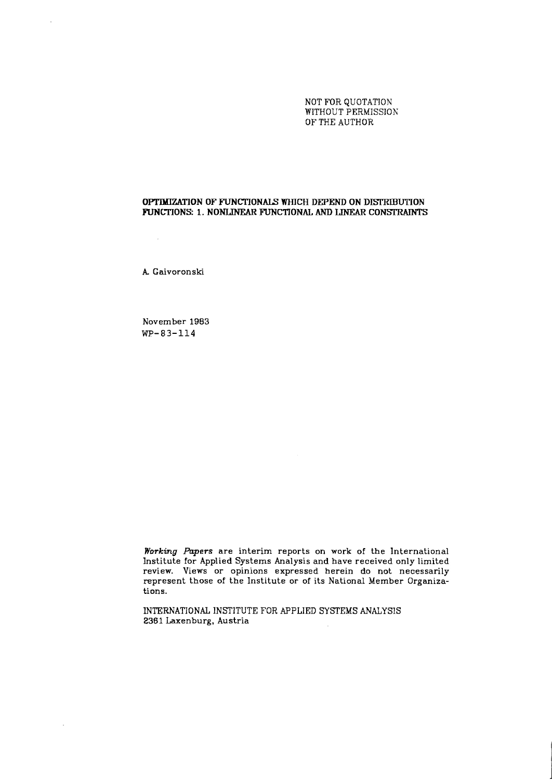NOT FOR QUOTATION WITHOUT PERMISSION OF THE AUTHOR

## **OPTIM3ZATION OF FWNCTIONALS WHICH DEPEND ON DISI'RIBUTION**  FUNCTIONS: 1. NONLINEAR FUNCTIONAL AND LINEAR CONSTRAINTS

**k** Gaivoronski

 $\sim 10^7$ 

l.

 $\sim$ 

November 1983 **WP-83-114** 

**Working** Papers are interim reports on work of the International Institute for Applied Systems Analysis and have received only limited review. Views or opinions expressed herein do not necessarily represent those of the Institute or of its National Member Organizations.

INTERNATIONAL INSTITUTE FOR APPLIED SYSTEMS ANALYSIS 2361 Laxenburg. Austria  $\sim$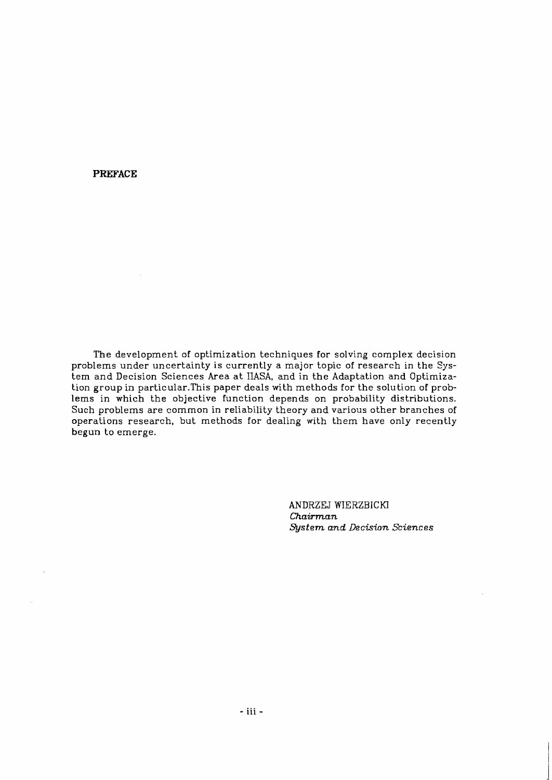**PREFACE** 

The development of optimization techniques for solving complex decision problems under uncertainty is currently a major topic of research in the System and Decision Sciences Area at IIASA, and in the Adaptation and Optimization group in particular.This paper deals with methods for the solution of problems in which the objective function depends on probability distributions. Such problems are common in reliability theory and various other branches of operations research, but methods for dealing with them have only recently begun to emerge.

> ANDRZEJ WIERZBICKl *Chairman System and Decision Sciences*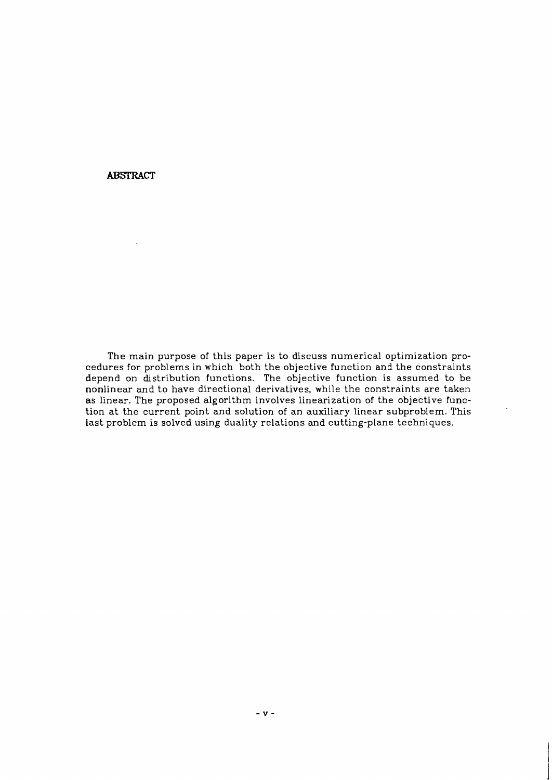**ABSTRACT** 

The main purpose of this paper is to discuss numerical optimization procedures for problems in which both the objective function and the constraints depend on distribution functions. The objective function is assumed to be nonlinear and to have directional derivatives, while the constraints are taken as linear. The proposed algorithm involves linearization of the objective function at the current point and solution of an auxiliary linear subproblem. This last problem is solved using duality relations and cutting-plane techniques.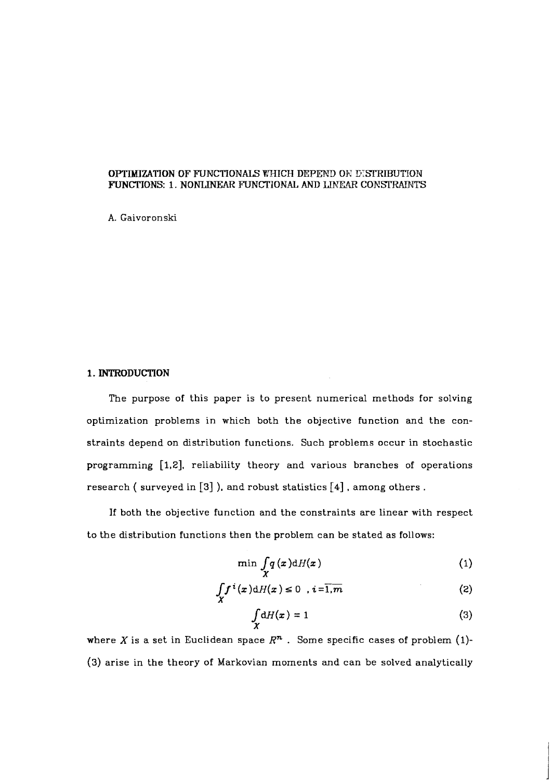# **OPTIMIZATION OF FUNCTIONALS WHICH DEPEND ON DISTRIBUTION FUNCTIONS: 1. NONLINEAR FUNCTIONAL AND LINEAR CONSTRAINTS**

**A.** Gaivoronski

## **1. INTRODUCTION**

The purpose of this paper is to present numerical methods for solving optimization problems in which both the objective function and the constraints depend on distribution functions. Such problems occur in stochastic programming [1,2], reliability theory and various branches of operations research (surveyed in  $[3]$ ), and robust statistics  $[4]$ , among others.

If both the objective function and the constraints are linear with respect to the distribution functions then the problem can be stated as follows:

$$
\min_{X} \int_{X} q(x) \mathrm{d}H(x) \tag{1}
$$

$$
\int_{X} f^{i}(x) dH(x) \leq 0 \quad i = \overline{1, m} \tag{2}
$$

$$
\int_{X} dH(x) = 1
$$
 (3)

where X is a set in Euclidean space  $\mathbb{R}^n$ . Some specific cases of problem (1)-(3) arise in the theory of Markovian moments and can be solved analytically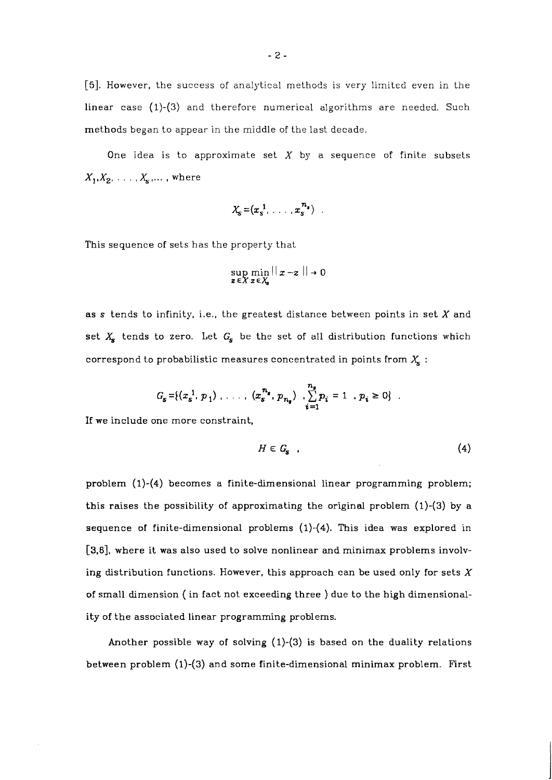[5]. However, the success of analytical methods is very limited even in the linear case (1)-(3) and therefore numerical algorithms are needed. Such methods began to appear in the middle of the last decade.

One idea is to approximate set  $X$  by a sequence of finite subsets  $X_1, X_2, \ldots, X_s, \ldots$ , where

$$
X_{\mathbf{S}} = (x_{\mathbf{S}}^{-1}, \ldots, x_{\mathbf{S}}^{-n_{\mathbf{S}}})
$$

This sequence of sets has the property that

$$
\sup_{z \in X} \min_{x \in X_s} ||x - z|| \to 0
$$

as **s** tends to infinity, i.e., the greatest distance between points in set X and set  $X_s$  tends to zero. Let  $G_s$  be the set of all distribution functions which correspond to probabilistic measures concentrated in points from  $X<sub>s</sub>$ :

$$
G_{s} = \{(x_{s}^{1}, p_{1}) \ldots \ldots \mid (x_{s}^{n_{s}}, p_{n_{s}}) \cdot \sum_{i=1}^{n_{s}} p_{i} = 1, p_{i} \geq 0\}.
$$

If we include one more constraint.

$$
H \in G_{\mathbf{s}} \quad . \tag{4}
$$

problem (1)-(4) becomes a finite-dimensional linear programming problem; this raises the possibility of approximating the original problem (1)-(3) by a sequence of finite-dimensional problems (1)-(4). This idea was explored in **[3,6],** where it was also used to solve nonlinear and minimax problems involving distribution functions. However, this approach can be used only for sets  $X$ of small dimension ( in fact not exceeding three ) due to the high dimensionality of the associated linear programming problems.

Another possible way of solving (1)-(3) is based on the duality relations between problem (1)-(3) and some finite-dimensional minimax problem. First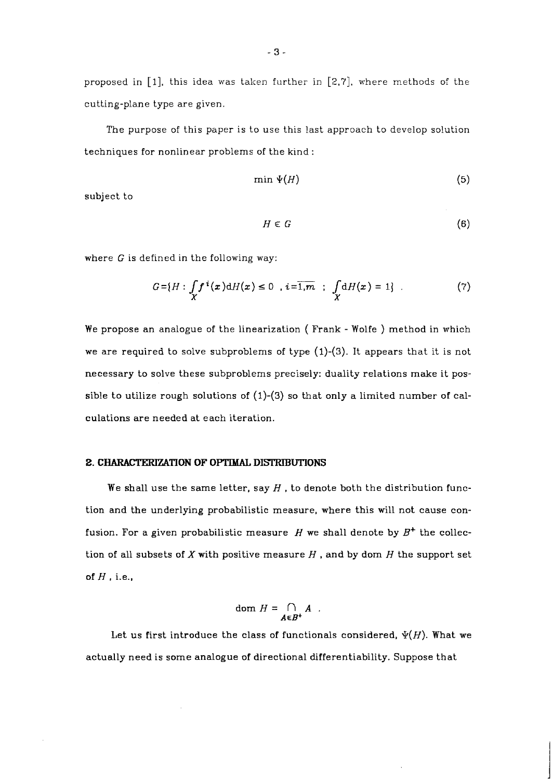proposed in [I], this idea was taken further in [2,7], where methods of the cutting-plane type are given.

The purpose of this paper is to use this last approach to develop solution techniques for nonlinear problems of the kind :

$$
\min \Psi(H) \tag{5}
$$

subject to

$$
H \in G \tag{6}
$$

where G is defined in the following way:

$$
G = \{H : \int_{X} f^{i}(x) dH(x) \le 0 \text{ , } i = \overline{1,m} \text{ ; } \int_{X} dH(x) = 1 \} .
$$
 (7)

We propose an analogue of the linearization ( Frank - Wolfe ) method in which we are required to solve subproblems of type (1)-(3). It appears that it is not necessary to solve these subproblems precisely: duality relations make it possible to utilize rough solutions of  $(1)-(3)$  so that only a limited number of calculations are needed at each iteration.

# **2. CHARACTERIZATION OF OPTIMAL DISTRIBUTIONS**

We shall use the same letter, say  $H$  , to denote both the distribution function and the underlying probabilistic measure, where this will not cause confusion. For a given probabilistic measure  $H$  we shall denote by  $B^+$  the collection of all subsets of  $X$  with positive measure  $H$  , and by dom  $H$  the support set of  $H$ , i.e.,

$$
\text{dom } H = \bigcap_{A \in B^+} A \enspace .
$$

Let us first introduce the class of functionals considered,  $\psi(H)$ . What we actually need is some analogue of directional differentiability. Suppose that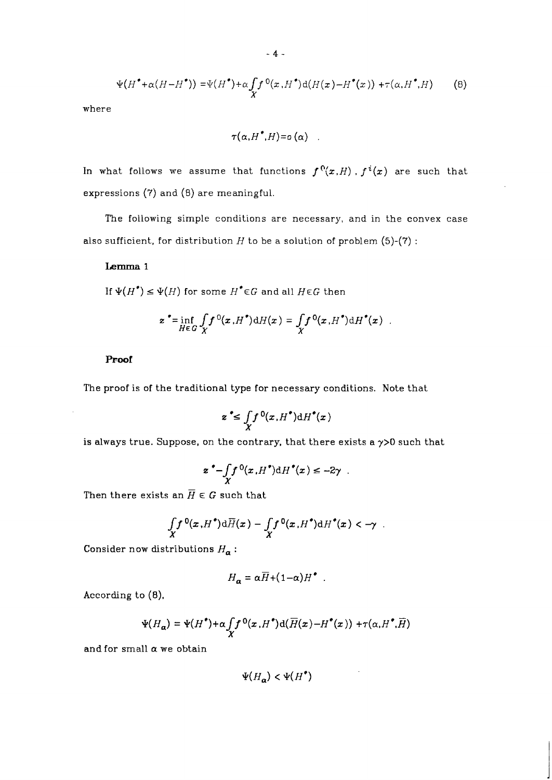$$
\Psi(H^{\bullet} + \alpha (H - H^{\bullet})) = \Psi(H^{\bullet}) + \alpha \int_X f^{0}(x, H^{\bullet}) d(H(x) - H^{\bullet}(x)) + \tau(\alpha, H^{\bullet}, H)
$$
(8)

where

$$
\tau(\alpha,{H}^{\bullet},{H})\texttt{=} \mathfrak{o}\left(\alpha\right)
$$

In what follows we assume that functions  $f^{0}(x,H)$ ,  $f^{i}(x)$  are such that expressions (7) and (8) are meaningful.

The following simple conditions are necessary, and in the convex case also sufficient, for distribution  $H$  to be a solution of problem (5)-(7):

### **Lemma** 1

If  $\Psi(H^*) \leq \Psi(H)$  for some  $H^* \in G$  and all  $H \in G$  then

$$
\mathbf{z}^{\bullet} = \inf_{H \in G} \int_{X} f^{0}(\mathbf{x}, H^{\bullet}) dH(\mathbf{x}) = \int_{X} f^{0}(\mathbf{x}, H^{\bullet}) dH^{\bullet}(\mathbf{x}) .
$$

### **Proof**

The proof is of the traditional type for necessary conditions. Note that

$$
z^* \leq \int_X f^0(x, H^*) \mathrm{d} H^*(x)
$$

is always true. Suppose, on the contrary, that there exists a **y>O** such that

$$
z^{\bullet}-\int\limits_Xf^0(x,H^{\bullet})\mathrm{d}H^{\bullet}(x)\leq -2\gamma.
$$

Then there exists an  $\overline{H} \in G$  such that

$$
\int_X f^0(x,H^*)\mathrm{d}\overline{H}(x)-\int_X f^0(x,H^*)\mathrm{d}H^*(x)<-\gamma.
$$

Consider now distributions  $H_{\alpha}$ :

$$
H_{\alpha} = \alpha \overline{H} + (1 - \alpha) H^{\bullet}.
$$

According to **(8),** 

$$
\Psi(H_{\alpha}) = \Psi(H^{\bullet}) + \alpha \int_{X} f^{0}(x, H^{\bullet}) d(\overline{H}(x) - H^{\bullet}(x)) + \tau(\alpha, H^{\bullet}, \overline{H})
$$

and for small  $\alpha$  we obtain

$$
\Psi(H_{\mathbf{a}}) < \Psi(H^{\bullet})
$$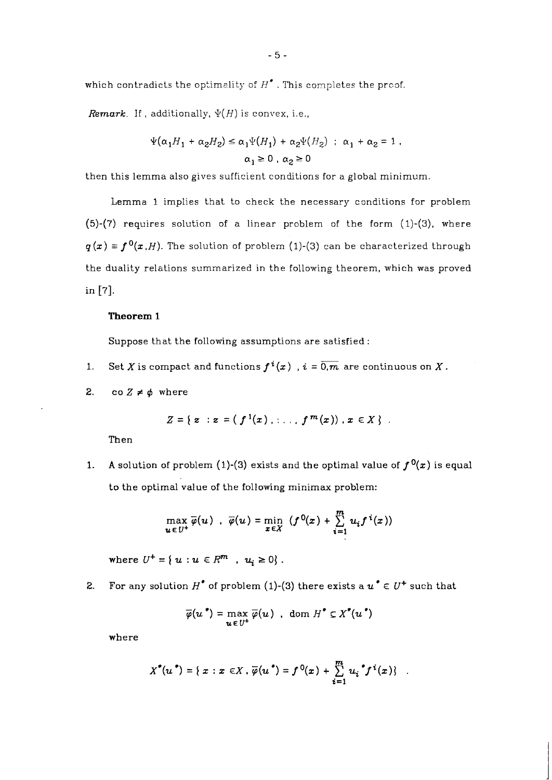which contradicts the optimelity of *H\** . This completes the prcof.

*Remark.* If, additionally,  $\Psi(H)$  is convex, i.e.,

$$
\Psi(\alpha_1 H_1 + \alpha_2 H_2) \le \alpha_1 \Psi(H_1) + \alpha_2 \Psi(H_2) \; ; \; \alpha_1 + \alpha_2 = 1 ,
$$
  

$$
\alpha_1 \ge 0 \; , \; \alpha_2 \ge 0
$$

then this lemma also gives sufficient conditions for a global minimum.

Lemma *1* implies that to check the necessary conditions for problem *(5)-(7)* requires solution of a linear problem of the form *(1)-(3).* where  $q(x) \equiv f^{0}(x,H)$ . The solution of problem (1)-(3) can be characterized through the duality relations summarized in the following theorem, which was proved in *[7].* 

#### **Theorem 1**

Suppose that the following assumptions are satisfied:

- 1. Set *X* is compact and functions  $f^{i}(x)$ ,  $i = \overline{0,m}$  are continuous on *X*.
- 2. co  $Z \neq \phi$  where

$$
Z = \{ z : z = (f^{1}(x), \ldots, f^{m}(x)), x \in X \} .
$$

Then

**1.** A solution of problem (1)-(3) exists and the optimal value of  $f^{0}(x)$  is equal to the optimal value of the following minimax problem:

$$
\max_{u \in U^+} \overline{\varphi}(u) , \overline{\varphi}(u) = \min_{x \in X} (f^0(x) + \sum_{i=1}^m u_i f^i(x))
$$

where  $U^+ = \{ u : u \in R^m , u_i \ge 0 \}$ .

**2.** For any solution  $H^*$  of problem (1)-(3) there exists a  $u^* \in U^+$  such that

$$
\overline{\varphi}(u^*) = \max_{u \in U^+} \overline{\varphi}(u) , \text{ dom } H^* \subseteq X^*(u^*)
$$

where

$$
X^{\bullet}(u^{\bullet}) = \{ x : x \in X, \overline{\varphi}(u^{\bullet}) = f^{0}(x) + \sum_{i=1}^{m} u_{i}^{\bullet} f^{i}(x) \}
$$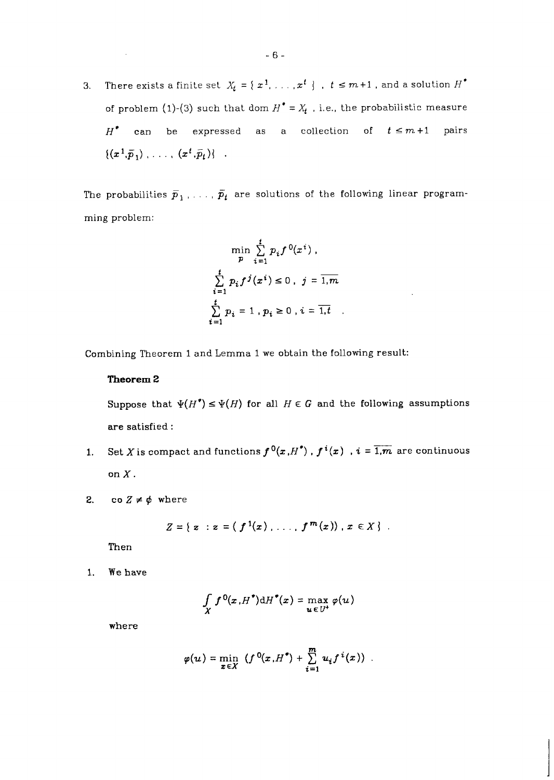**3.** There exists a finite set  $X_t = \{x^1, \ldots, x^t\}$ ,  $t \leq m+1$ , and a solution  $H^*$ of problem (1)-(3) such that dom  $H^* = X_t$ , i.e., the probabilistic measure  $H^*$  can be expressed as a collection of  $t \leq m+1$  pairs  $\{(x^1,\vec{p}_1), \ldots, (x^t,\vec{p}_t)\}\;$ .

The probabilities  $\bar{p}_1$ , ...,  $\bar{p}_t$  are solutions of the following linear programming problem:

$$
\min_{p} \sum_{i=1}^{t} p_i f^{0}(x^{i}),
$$
  

$$
\sum_{i=1}^{t} p_i f^{j}(x^{i}) \le 0, \quad j = \overline{1, m}
$$
  

$$
\sum_{i=1}^{t} p_i = 1, p_i \ge 0, \quad i = \overline{1, t}.
$$

Combining Theorem 1 and Lemma 1 we obtain the following result:

#### **Theorem** *2*

Suppose that  $\Psi(H^*) \leq \Psi(H)$  for all  $H \in G$  and the following assumptions are satisfied :

- **1.** Set X is compact and functions  $f^{0}(x, H^{*})$  ,  $f^{i}(x)$  ,  $i = \overline{1,m}$  are continuous on  $X$ .
- 2. co  $Z \neq \phi$  where

$$
Z = \{ z : z = (f^{1}(x), \ldots, f^{m}(x)), x \in X \} .
$$

Then

1. We have

$$
\int\limits_X f^0(x,H^*)\mathrm{d}H^*(x)=\max_{u\in U^+}\varphi(u)
$$

where

$$
\varphi(u) = \min_{x \in X} \left( f^{0}(x,H^{*}) + \sum_{i=1}^{m} u_{i} f^{i}(x) \right) .
$$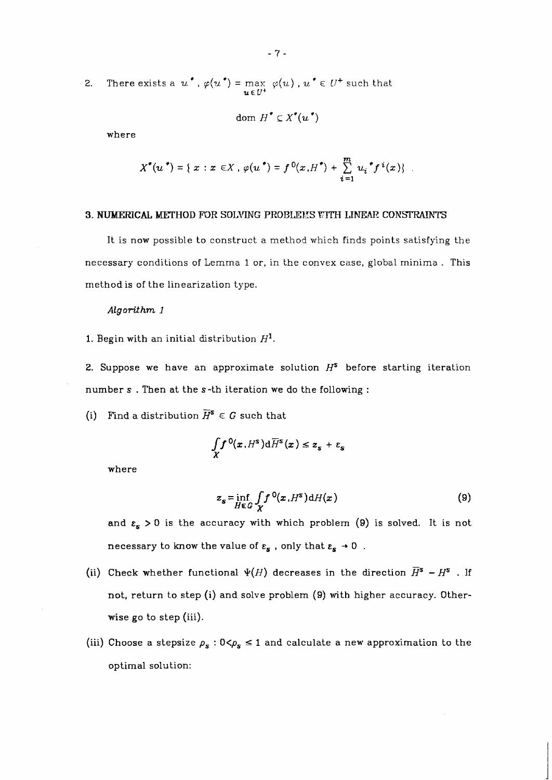2. There exists a  $u^*$ ,  $\varphi(u^*) = \max_{u \in U^+} \varphi(u)$ ,  $u^* \in U^+$  such that

dom  $H^{\bullet} \subset X^{\bullet}(u^{\bullet})$ 

where

$$
X^{\bullet}(u^{\bullet}) = \{ x : x \in X, \varphi(u^{\bullet}) = f^{0}(x,H^{\bullet}) + \sum_{i=1}^{m} u_{i}^{\bullet} f^{i}(x) \} .
$$

## **3. NUMERICAL METHOD FOR SOLVING PROBLEMS WITH LINEAR CONSTRAINTS**

It is now possible to construct a method which finds points satisfying the necessary conditions of Lemma 1 or, in the convex case, global minima . This method is of the linearization type.

#### *Algorithm 1*

1. Begin with an initial distribution  $H^1$ .

2. Suppose we have an approximate solution  $H^s$  before starting iteration number s . Then at the s-th iteration we do the following :

(i) Find a distribution  $\overline{H}^s \in G$  such that

$$
\int\limits_X f^0(x,H^s)\mathrm{d}\overline{H}^s(x)\leq z_s+\varepsilon_s
$$

where

$$
z_{s} = \inf_{H \in G} \int_{X} f^{0}(x, H^{s}) dH(x)
$$
\n(9)

and  $\varepsilon_s > 0$  is the accuracy with which problem (9) is solved. It is not necessary to know the value of  $\varepsilon_{\rm s}$  , only that  $\varepsilon_{\rm s}\rightarrow 0\,$  .

- (ii) Check whether functional  $\Psi(H)$  decreases in the direction  $\overline{H}^s H^s$ . If not, return to step **(i)** and solve problem (9) with higher accuracy. Otherwise go to step (iii).
- (iii) Choose a stepsize  $\rho_s : 0 \leq \rho_s \leq 1$  and calculate a new approximation to the optimal solution: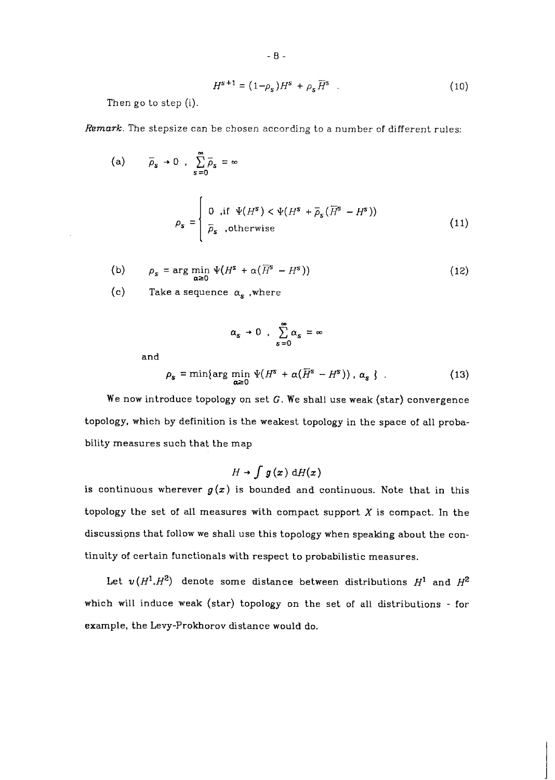$$
H^{s+1} = (1 - \rho_s)H^s + \rho_s \overline{H}^s \tag{10}
$$

Then go to step (i).

*Remark.* The stepsize can be chosen according to a number of different rules:

(a) 
$$
\overline{\rho}_{s} \to 0
$$
,  $\sum_{s=0}^{\infty} \overline{\rho}_{s} = \infty$   

$$
\rho_{s} = \begin{cases} 0, & \text{if } \Psi(H^{s}) < \Psi(H^{s} + \overline{\rho}_{s}(\overline{H}^{s} - H^{s})) \\ \overline{\rho}_{s} & \text{otherwise} \end{cases}
$$
(11)

(b) 
$$
\rho_s = \arg \min_{\alpha \ge 0} \Psi(H^s + \alpha(\overline{H}^s - H^s))
$$
 (12)

(c) Take a sequence  $\alpha_s$ , where

$$
\alpha_s \to 0 \ , \ \sum_{s=0}^\infty \alpha_s = \infty
$$

and

$$
\rho_{s} = \min\{\arg\min_{\alpha \geq 0} \Psi(H^{s} + \alpha(\overline{H}^{s} - H^{s})), \alpha_{s} \}.
$$
 (13)

We now introduce topology on set  $G$ . We shall use weak (star) convergence topology, which by definition is the weakest topology in the space of all probability measures such that the map

$$
H \to \int g(x) \, \mathrm{d}H(x)
$$

is continuous wherever  $g(x)$  is bounded and continuous. Note that in this topology the set of all measures with compact support  $X$  is compact. In the discussions that follow we shall use this topology when speaking about the continuity of certain functionals with respect to probabilistic measures.

Let  $v(H^1, H^2)$  denote some distance between distributions  $H^1$  and  $H^2$ which will induce weak (star) topology on the set of all distributions - for example, the Levy-Prokhorov distance would do.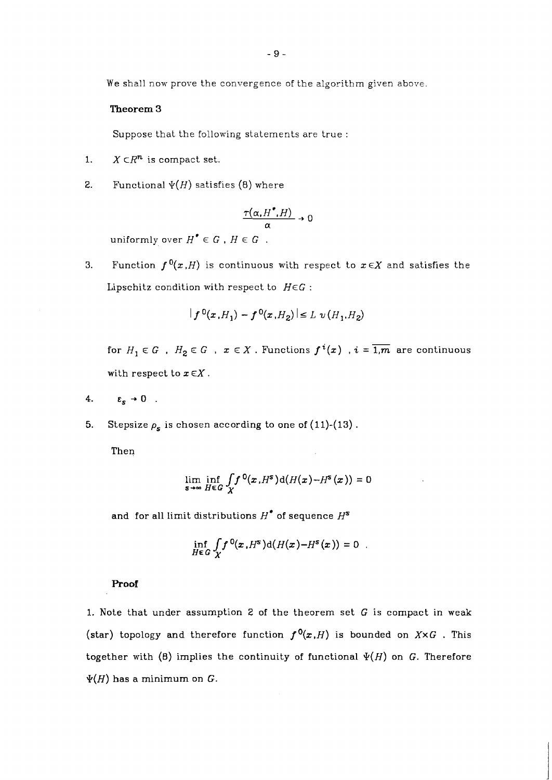We shall now prove the convergence of the algorithm given above.

## **Theorem 3**

Suppose that the following statements are true :

- 1.  $X \subset \mathbb{R}^n$  is compact set.
- **2.** Functional  $\Psi(H)$  satisfies (8) where

$$
\frac{\tau(\alpha, H^*, H)}{\alpha} \to 0
$$

uniformly over  $H^{\bullet} \in G$ ,  $H \in G$ .

3. Function  $f^{0}(x,H)$  is continuous with respect to  $x \in X$  and satisfies the Lipschitz condition with respect to  $H \in G$ :

$$
|f^{0}(x,H_{1}) - f^{0}(x,H_{2})| \le L \nu(H_{1},H_{2})
$$

for  $H_1 \in G$ ,  $H_2 \in G$ ,  $x \in X$ . Functions  $f^i(x)$ ,  $i = \overline{1,m}$  are continuous with respect to  $x \in X$ .

- 4.  $\varepsilon_s \rightarrow 0$ .
- **5.** Stepsize  $\rho_s$  is chosen according to one of  $(11)-(13)$ .

Then

$$
\lim_{s\to\infty}\inf_{H\in G}\int\limits_Xf^0(x,H^s)\mathrm{d}(H(x)-H^s(x))=0
$$

and for all limit distributions  $H^*$  of sequence  $H^s$ 

$$
\inf_{H\in G}\int\limits_X f^0(x,H^s)\mathrm{d}(H(x)-H^s(x))=0.
$$

## **Proof**

1. Note that under assumption 2 of the theorem set  $G$  is compact in weak (star) topology and therefore function  $f^{0}(x,H)$  is bounded on  $X \times G$ . This together with  $(8)$  implies the continuity of functional  $\Psi(H)$  on G. Therefore  $\Psi(H)$  has a minimum on G.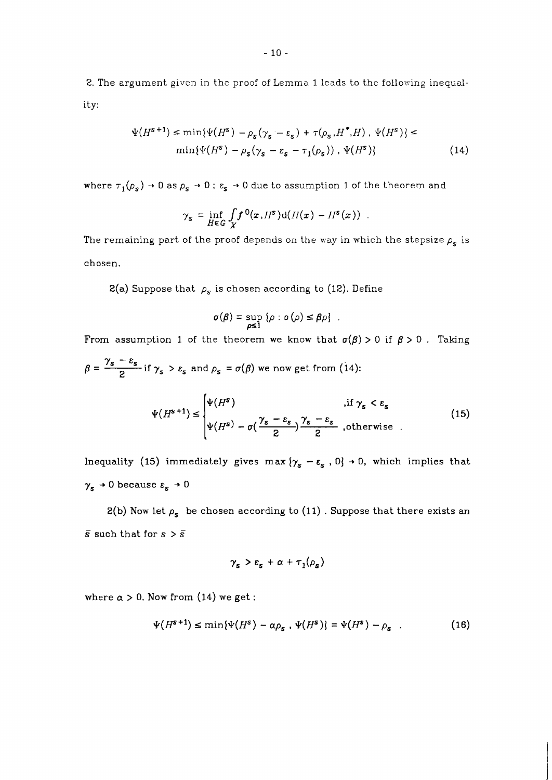2. The argument given in the proof of Lemma 1 leads to the following inequality:

$$
\Psi(H^{s+1}) \le \min{\Psi(H^s) - \rho_s(\gamma_s - \varepsilon_s) + \tau(\rho_s, H^*, H), \ \Psi(H^s)} \le \min{\Psi(H^s) - \rho_s(\gamma_s - \varepsilon_s - \tau_1(\rho_s)), \ \Psi(H^s)}
$$
\n(14)

where  $\tau_{1}(\rho_{s})\rightarrow0$  as  $\rho_{s}\rightarrow0$  ;  $\varepsilon_{s}\rightarrow0$  due to assumption 1 of the theorem and

$$
\gamma_s = \inf_{H \in G} \int_X f^0(x, H^s) d(H(x) - H^s(x)) .
$$

The remaining part of the proof depends on the way in which the stepsize  $\rho_s$  is chosen.

2(a) Suppose that  $\rho_s$  is chosen according to (12). Define

$$
\sigma(\beta) = \sup_{\rho \leq 1} {\rho : o(\rho) \leq \beta \rho} .
$$

From assumption 1 of the theorem we know that  $\sigma(\beta) > 0$  if  $\beta > 0$ . Taking  $\beta = \frac{\gamma_s - \varepsilon_s}{2}$  if  $\gamma_s > \varepsilon_s$  and  $\rho_s = \sigma(\beta)$  we now get from (14):

$$
\Psi(H^{s+1}) \leq \begin{cases} \Psi(H^{s}) & \text{if } \gamma_{s} < \varepsilon_{s} \\ \Psi(H^{s}) - \sigma(\frac{\gamma_{s} - \varepsilon_{s}}{2}) \frac{\gamma_{s} - \varepsilon_{s}}{2} & \text{otherwise} \end{cases}
$$
(15)

Inequality (15) immediately gives max  $\{\gamma_s - \varepsilon_s, 0\} \rightarrow 0$ , which implies that  $\gamma_{s}\rightarrow 0$  because  $\varepsilon_{s}\rightarrow 0$ 

2(b) Now let  $\rho_s$  be chosen according to (11). Suppose that there exists an  $\bar{s}$  such that for  $s > \bar{s}$ 

$$
\gamma_{s} > \varepsilon_{s} + \alpha + \tau_{1}(\rho_{s})
$$

where  $\alpha > 0$ . Now from (14) we get :

$$
\Psi(H^{s+1}) \le \min{\Psi(H^s) - \alpha \rho_s \cdot \Psi(H^s)} = \Psi(H^s) - \rho_s \quad . \tag{16}
$$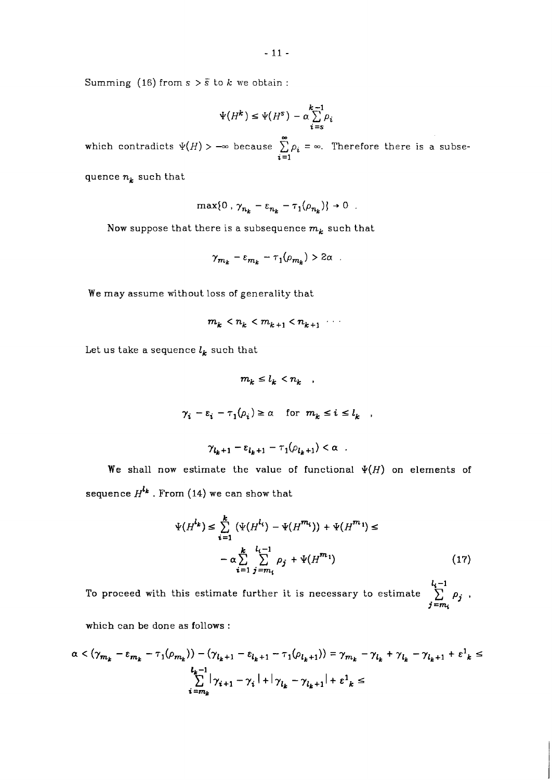Summing (16) from  $s > \bar{s}$  to  $k$  we obtain:

$$
\Psi\big(H^k\big)\leq \Psi\big(H^s\big)-\alpha\sum_{i=s}^{k-1}\rho_i
$$

**w**hich contradicts  $\psi(H) > -\infty$  because  $\sum_{i=1}^{\infty} \rho_i = \infty$ . Therefore there is a subse*i =I* 

quence  $n_k$  such that

$$
\max\{0\,,\,\gamma_{n_k}-\varepsilon_{n_k}-\tau_1(\rho_{n_k})\}\to 0\ .
$$

Now suppose that there is a subsequence  $m_k$  such that

$$
\gamma_{m_k}-\varepsilon_{m_k}-\tau_1(\rho_{m_k})>2\alpha.
$$

We may assume without loss of generality that

$$
m_k < n_k < m_{k+1} < n_{k+1} \quad \cdots
$$

Let us take a sequence  $l_k$  such that

$$
m_k \leq l_k < n_k \quad ,
$$
  

$$
\gamma_i - \varepsilon_i - \tau_1(\rho_i) \geq \alpha \quad \text{for} \ \ m_k \leq i \leq l_k \quad ,
$$

$$
\gamma_{l_k+1} - \varepsilon_{l_k+1} - \tau_1(\rho_{l_k+1}) < \alpha \quad .
$$

We shall now estimate the value of functional  $\Psi(H)$  on elements of sequence  $H^{l_k}$  . From (14) we can show that

$$
\Psi(H^{l_k}) \leq \sum_{i=1}^{k} (\Psi(H^{l_i}) - \Psi(H^{m_i})) + \Psi(H^{m_i}) \leq
$$
  

$$
- \alpha \sum_{i=1}^{k} \sum_{j=m_i}^{l_i-1} \rho_j + \Psi(H^{m_i})
$$
 (17)

To proceed with this estimate further it is necessary to estimate  $\sum_{j=m_i}^{l_i-1} \rho_j$  ,

which can be done as follows :

$$
\alpha < (\gamma_{m_k} - \varepsilon_{m_k} - \tau_1(\rho_{m_k})) - (\gamma_{l_k+1} - \varepsilon_{l_k+1} - \tau_1(\rho_{l_k+1})) = \gamma_{m_k} - \gamma_{l_k} + \gamma_{l_k} - \gamma_{l_k+1} + \varepsilon^1_k \le \sum_{i=m_k}^{l_k-1} |\gamma_{i+1} - \gamma_i| + |\gamma_{l_k} - \gamma_{l_k+1}| + \varepsilon^1_k \le
$$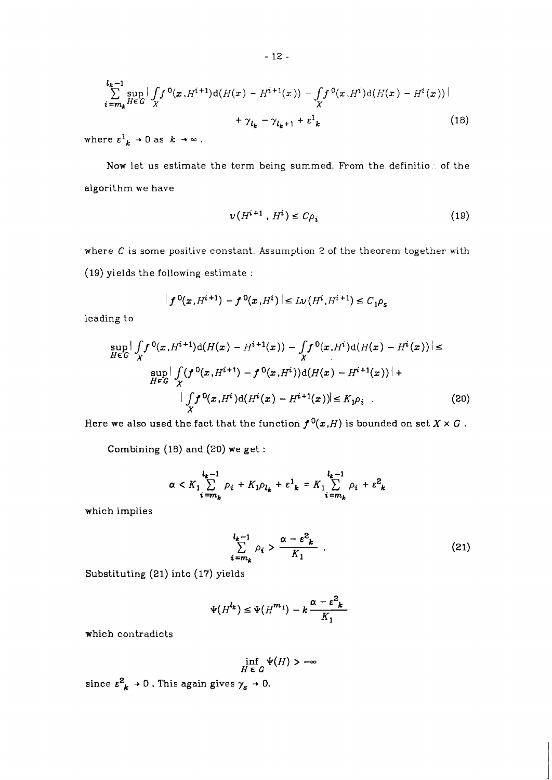$$
\sum_{i=m_k}^{l_k-1} \sup_{H \in G} \left| \int_X f^0(x, H^{i+1}) d(H(x) - H^{i+1}(x)) - \int_X f^0(x, H^i) d(H(x) - H^i(x)) \right| + \gamma_{l_k} - \gamma_{l_k+1} + \varepsilon^1_k
$$
\n(18)

where  $\varepsilon^1{}_{k} \rightarrow 0$  as  $k \rightarrow \infty$ .

Now let us estimate the term being summed. From the definition of the algorithm we have

$$
\nu(H^{i+1}, H^i) \le C\rho_i \tag{19}
$$

where C is some positive constant. Assumption *2* of the theorem together with (19) yields the following estimate :

$$
|f^{0}(x, H^{i+1}) - f^{0}(x, H^{i})| \le L \nu(H^{i}, H^{i+1}) \le C_1 \rho_s
$$

leading to

$$
\sup_{H \in G} \left| \int_{X} f^{0}(x, H^{i+1}) d(H(x) - H^{i+1}(x)) - \int_{X} f^{0}(x, H^{i}) d(H(x) - H^{i}(x)) \right| \le
$$
  
\n
$$
\sup_{H \in G} \left| \int_{X} (f^{0}(x, H^{i+1}) - f^{0}(x, H^{i})) d(H(x) - H^{i+1}(x)) \right| +
$$
  
\n
$$
\left| \int_{X} f^{0}(x, H^{i}) d(H^{i}(x) - H^{i+1}(x)) \right| \le K_{1} \rho_{i}.
$$
\n(20)

Here we also used the fact that the function  $f^{0}(x,H)$  is bounded on set  $X \times G$ .

Combining *(18)* and *(20)* we get :

$$
\alpha < K_1 \sum_{i=m_k}^{l_k-1} \rho_i + K_1 \rho_{l_k} + \varepsilon^1_k = K_1 \sum_{i=m_k}^{l_k-1} \rho_i + \varepsilon^2_k
$$

which implies

$$
\sum_{i=m_k}^{l_k-1} \rho_i > \frac{\alpha - \varepsilon^2_k}{K_1} \tag{21}
$$

Substituting *(21)* into *(17)* yields

$$
\Psi(H^{l_k}) \leq \Psi(H^{m_1}) - k \frac{\alpha - \varepsilon^2_k}{K_1}
$$

which contradicts

$$
\inf_{H\;\in\; G} \Psi(H) > -\infty
$$

since  $\varepsilon_{~k}^{2}\rightarrow0$  . This again gives  $\gamma_{s}\rightarrow0.$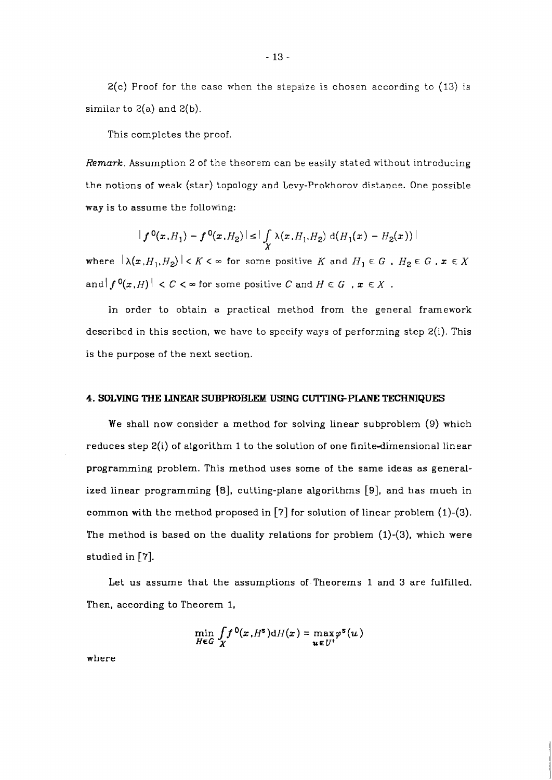$2(c)$  Proof for the case when the stepsize is chosen according to  $(13)$  is similar to  $2(a)$  and  $2(b)$ .

This completes the proof.

*Remark.* Assumption 2 of the theorem can be easily stated without introducing the notions of weak (star) topology and Levy-Prokhorov distance. One possible way is to assume the following:

$$
|f^{0}(x,H_{1})-f^{0}(x,H_{2})| \leq | \int \limits_{X} \lambda(x,H_{1},H_{2}) d(H_{1}(x)-H_{2}(x))|
$$

where  $|\lambda(x, H_1, H_2)| < K < \infty$  for some positive K and  $H_1 \in G$ ,  $H_2 \in G$ ,  $x \in X$ and  $|f^{0}(x,H)| < C < \infty$  for some positive C and  $H \in G$ ,  $x \in X$ .

In order to obtain a practical method from the general framework described in this section, we have to specify ways of performing step  $2(i)$ . This is the purpose of the next section.

# **4. SOLVING THE** LWEAR **SUBPROBUCM USING CUTTINGPLANE TECHNIQUES**

We shall now consider a method for solving linear subproblem (9) which reduces step 2(i) of algorithm 1 to the solution of one finite-dimensional linear programming problem. This method uses some of the same ideas as generalized linear programming **[a],** cutting-plane algorithms **[9],** and has much in common with the method proposed in **[?I** for solution of linear problem (1)-(3). The method is based on the duality relations for problem  $(1)-(3)$ , which were studied in **[?I.** 

Let us assume that the assumptions of-Theorems 1 and 3 are fulfilled. Then, according to Theorem 1,

$$
\min_{H\in G}\int\limits_X f^0(x,H^s)\mathrm{d}H(x)=\max_{u\in U^+}\varphi^s(u)
$$

where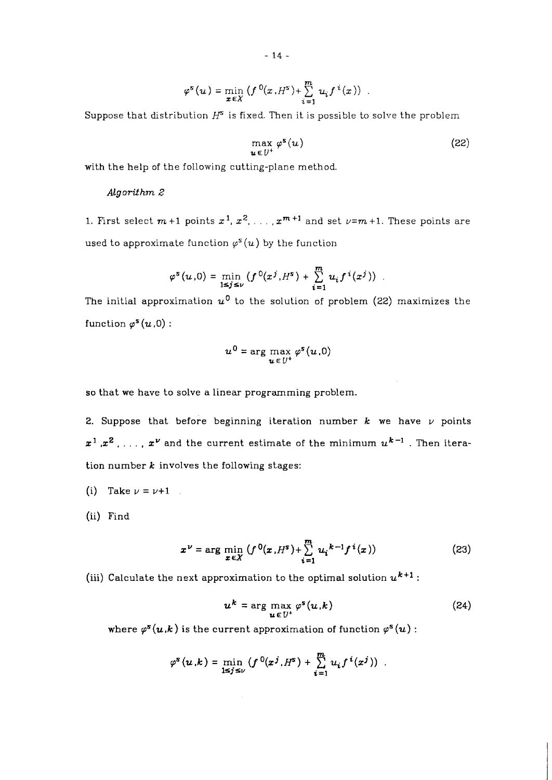$$
\varphi^s(u) = \min_{x \in X} \left( f^0(x, H^s) + \sum_{i=1}^m u_i f^i(x) \right) .
$$

Suppose that distribution  $H^s$  is fixed. Then it is possible to solve the problem

$$
\max_{u \in U^+} \varphi^s(u) \tag{22}
$$

with the help of the following cutting-plane method.

# *Algorithm* **2**

1. First select  $m+1$  points  $x^1, x^2, \ldots, x^{m+1}$  and set  $\nu = m+1$ . These points are used to approximate function  $\varphi^{s}(u)$  by the function

$$
\varphi^{s}(u,0) = \min_{1 \leq j \leq v} (f^{0}(x^{j},H^{s}) + \sum_{i=1}^{m} u_{i} f^{i}(x^{j}))
$$

The initial approximation  $u^0$  to the solution of problem (22) maximizes the function  $\varphi^{s}(u,0)$  :

$$
u^0 = \arg\max_{u \in U^+} \varphi^s(u,0)
$$

so that we have to solve a linear programming problem.

2. Suppose that before beginning iteration number  $k$  we have  $\nu$  points  $x^1, x^2, \ldots, x^{\nu}$  and the current estimate of the minimum  $u^{k-1}$ . Then iteration number  $k$  involves the following stages:

- (i) Take  $\nu = \nu + 1$
- *(ii)* Find

$$
x^{\nu} = \arg\min_{x \in X} (f^{0}(x, H^{s}) + \sum_{i=1}^{m} u_{i}^{k-1} f^{i}(x))
$$
 (23)

(iii) Calculate the next approximation to the optimal solution  $u^{k+1}$ :

$$
u^k = \arg\max_{u \in U^+} \varphi^s(u,k) \tag{24}
$$

where  $\varphi^s(u,k)$  is the current approximation of function  $\varphi^s(u)$ :

$$
\varphi^s(u,k)=\min_{1\leq j\leq v}\left(f^0(x^j,H^s)+\sum_{i=1}^m u_i f^i(x^j)\right).
$$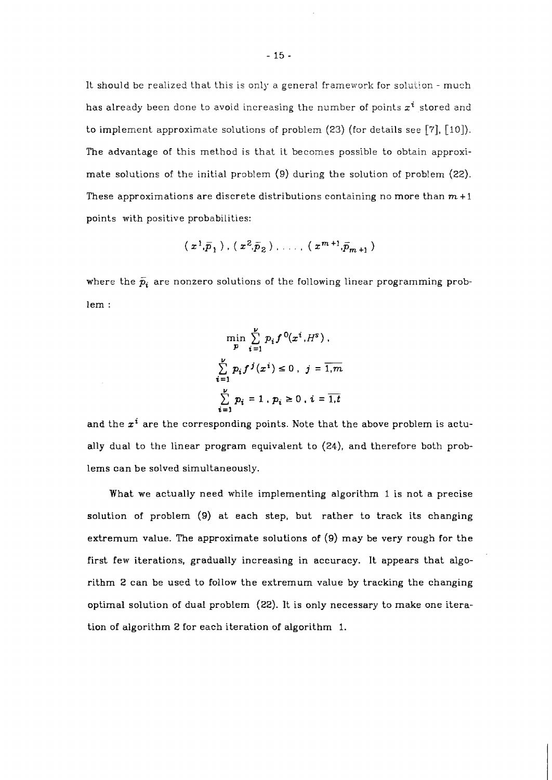It should be realized that this is only a general framework for solution - much has already been done to avoid increasing the number of points  $x^i$  stored and to implement approximate solutions of problem (23) (for details see **[7],** [lo]). The advantage of this method is that it becomes possible to obtain approximate solutions of the initial problem (9) during the solution of problem **(22).**  These approximations are discrete distributions containing no more than  $m+1$ points with positive probabilities:

$$
(x^1,\bar{p}_1)
$$
,  $(x^2,\bar{p}_2)$ , ...,  $(x^{m+1},\bar{p}_{m+1})$ 

where the  $\bar{p}_i$  are nonzero solutions of the following linear programming problem :

$$
\min_{p} \sum_{i=1}^{V} p_i f^{0}(x^i, H^s),
$$
  

$$
\sum_{i=1}^{V} p_i f^{j}(x^i) \le 0, \quad j = \overline{1, m}
$$
  

$$
\sum_{i=1}^{V} p_i = 1, \quad p_i \ge 0, \quad i = \overline{1, t}
$$

and the  $x^i$  are the corresponding points. Note that the above problem is actually dual to the linear program equivalent to **(24),** and therefore both problems can be solved simultaneously.

What we actually need while implementing algorithm 1 is not a precise solution of problem **(9)** at each step, but rather to track its changing extremum value. The approximate solutions of **(9)** may be very rough for the first few iterations, gradually increasing in accuracy. It appears that algorithm **2** can be used to follow the extremum value by tracking the changing optimal solution of dual problem **(22).** It is only necessary to make one iteration of algorithm 2 for each iteration of algorithm 1.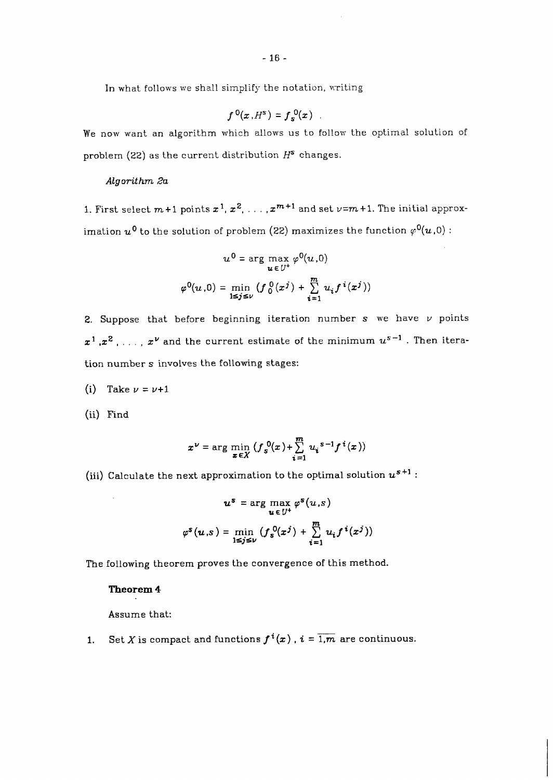In what follows we shall simplify the notation, writing

$$
f^{0}(x,H^{s})=f_{s}^{0}(x) .
$$

We now want an algorithm which allows us to follow the optimal solution of problem *(22)* as the current distribution *HS* changes.

## *Algorithm* **2a**

1. First select  $m+1$  points  $x^1, x^2, \ldots, x^{m+1}$  and set  $\nu=m+1$ . The initial approximation  $u^0$  to the solution of problem (22) maximizes the function  $\varphi^0(u,0)$  :

$$
u^{0} = \arg \max_{u \in U^{+}} \varphi^{0}(u, 0)
$$

$$
\varphi^{0}(u, 0) = \min_{1 \leq j \leq v} (f_{0}^{0}(x^{j}) + \sum_{i=1}^{m} u_{i} f^{i}(x^{j}))
$$

2. Suppose that before beginning iteration number s we have *v* points  $x^1, x^2, \ldots, x^{\nu}$  and the current estimate of the minimum  $u^{s-1}$ . Then iteration number s involves the following stages:

*(i)* Take  $\nu = \nu + 1$ 

*(ii)* Find

$$
x^{\nu} = \arg\min_{x \in X} \left(f_s^0(x) + \sum_{i=1}^m u_i^{s-1} f^i(x)\right)
$$

*(iii)* Calculate the next approximation to the optimal solution *us+'* :

$$
u^{s} = \arg \max_{u \in U^{+}} \varphi^{s}(u, s)
$$

$$
\varphi^{s}(u, s) = \min_{1 \leq j \leq v} (f_{s}^{0}(x^{j}) + \sum_{i=1}^{m} u_{i} f^{i}(x^{j}))
$$

The following theorem proves the convergence of this method.

# **Theorem 4**

Assume that:

**1.** Set X is compact and functions  $f^{i}(x)$ ,  $i = \overline{1,m}$  are continuous.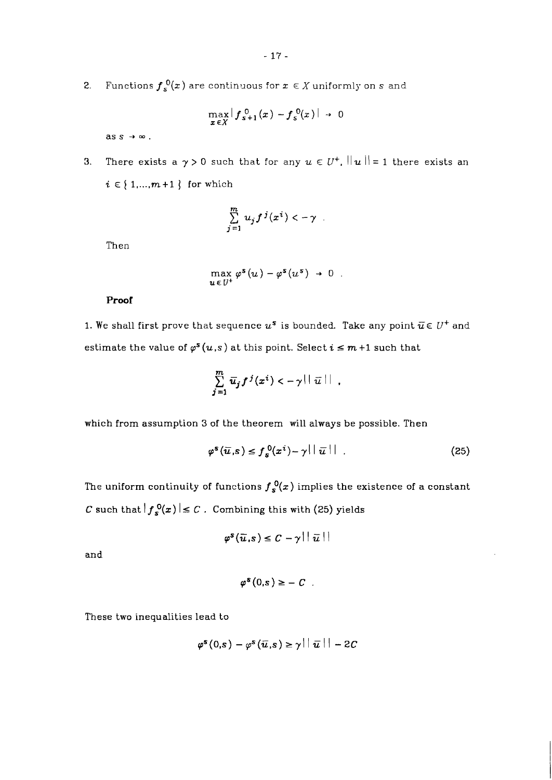**2.** Functions  $f_s^0(x)$  are continuous for  $x \in X$  uniformly on  $s$  and

$$
\max_{\pmb{x}\in X} \left| f_{\pmb{s}+1}^{0}(\pmb{x}) - f_{\pmb{s}}^{0}(\pmb{x}) \right| \rightarrow 0
$$

ass  $\rightarrow \infty$ .

**3.** There exists a  $\gamma > 0$  such that for any  $u \in U^+$ ,  $||u|| = 1$  there exists an  $i \in \{1, ..., m+1\}$  for which

$$
\sum_{j=1}^m u_j f^j(x^i) < -\gamma
$$

Then

$$
\max_{u \in U^+} \varphi^s(u) - \varphi^s(u^s) \to 0.
$$

**Proof** 

1. We shall first prove that sequence  $u^s$  is bounded. Take any point  $\overline{u} \in U^+$  and estimate the value of  $\varphi^s(u,s)$  at this point. Select  $i \leq m+1$  such that

$$
\sum_{j=1}^m \overline{u}_j f^j(x^i) < -\gamma \, ||\, \overline{u} \, || \, .
$$

which from assumption **3** of the theorem will always be possible. Then

$$
\varphi^{s}(\overline{u}, s) \leq f_{s}^{0}(x^{i}) - \gamma ||\overline{u}|| \qquad (25)
$$

The uniform continuity of functions  $f_s^0(x)$  implies the existence of a constant  $C$  such that  $|f_s^0(x)| \leq C$ . Combining this with (25) yields

$$
\varphi^s(\overline{u},s) \leq C - \gamma ||\overline{u}||
$$

and

$$
\varphi^s(0,s) \geq -C
$$

These two inequalities lead to

$$
\varphi^s(0,s)-\varphi^s(\bar{u},s)\geq \gamma\left|\left|\right.\bar{u}\right|\left|\right|-2C
$$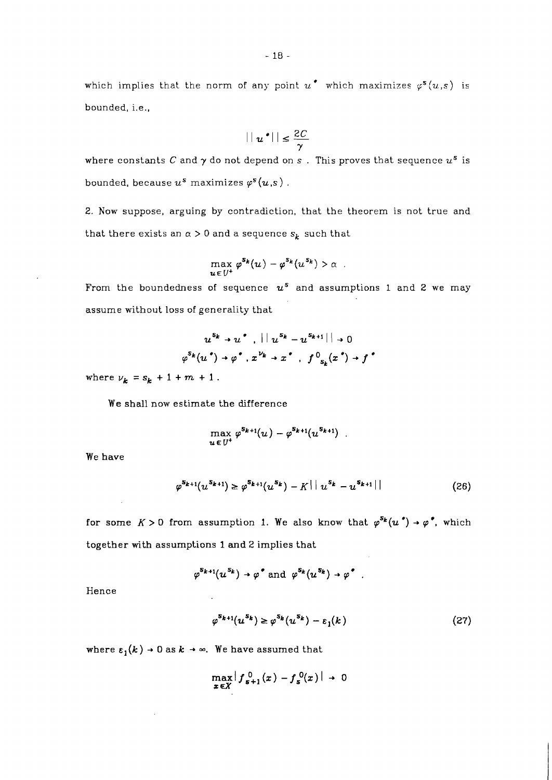which implies that the norm of any point  $u^*$  which maximizes  $\varphi^s(u,s)$  is bounded, i.e.,

$$
||u^*|| \leq \frac{2C}{\gamma}
$$

where constants C and  $\gamma$  do not depend on *s* . This proves that sequence  $u^s$  is bounded, because  $u^s$  maximizes  $\varphi^s(u,s)$ .

2. Now suppose, arguing by contradiction, that the theorem is not true and that there exists an  $\alpha > 0$  and a sequence  $s_k$  such that

$$
\max_{u\in U^+}\varphi^{\mathbf{S_k}}(u)-\varphi^{\mathbf{S_k}}(u^{\mathbf{S_k}})>\alpha.
$$

From the boundedness of sequence  $u^s$  and assumptions 1 and 2 we may assume without loss of generality that

$$
u^{s_k} \rightarrow u^*, \quad ||u^{s_k} - u^{s_{k+1}}|| \rightarrow 0
$$
  

$$
\varphi^{s_k}(u^*) \rightarrow \varphi^*, x^{\nu_k} \rightarrow x^*, \quad f^0_{s_k}(x^*) \rightarrow f^*
$$

where  $\nu_k = s_k + 1 + m + 1$ .

We shall now estimate the difference

$$
\max_{u \in U^+} \varphi^{s_{k+1}}(u) - \varphi^{s_{k+1}}(u^{s_{k+1}}) \ .
$$

We have

$$
\varphi^{s_{k+1}}(u^{s_{k+1}}) \ge \varphi^{s_{k+1}}(u^{s_k}) - K \mid |u^{s_k} - u^{s_{k+1}}| \mid
$$
\n(26)

for some  $K > 0$  from assumption 1. We also know that  $\varphi^{S_k}(u^*) \to \varphi^*$ , which together with assumptions 1 and 2 implies that

$$
\varphi^{s_{k+1}}(u^{s_k}) \to \varphi^{\bullet} \text{ and } \varphi^{s_k}(u^{s_k}) \to \varphi^{\bullet} \ .
$$

Hence

$$
\varphi^{s_{k+1}}(u^{s_k}) \ge \varphi^{s_k}(u^{s_k}) - \varepsilon_1(k) \tag{27}
$$

where  $\varepsilon_1(k)\to 0$  as  $k\to\infty.$  We have assumed that

$$
\max_{x\in X} \left| f_{s+1}^0(x) - f_s^0(x) \right| \to 0
$$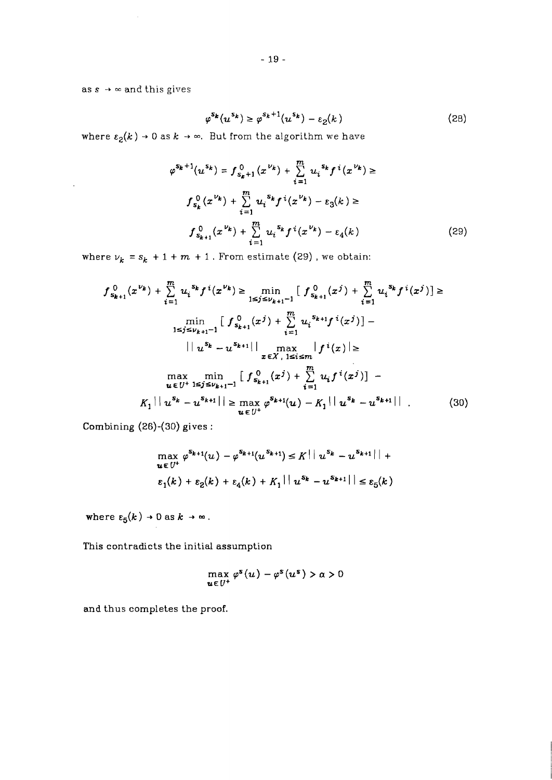as  $s \rightarrow \infty$  and this gives

 $\Delta \sim 1$ 

$$
\varphi^{s_k}(u^{s_k}) \ge \varphi^{s_k+1}(u^{s_k}) - \varepsilon_2(k) \tag{28}
$$

where  $\varepsilon_2(k) \to 0$  as  $k \to \infty$ . But from the algorithm we have

$$
\varphi^{s_k+1}(u^{s_k}) = f_{s_k+1}^0(x^{\nu_k}) + \sum_{i=1}^m u_i^{s_k} f^i(x^{\nu_k}) \ge
$$
  

$$
f_{s_k}^0(x^{\nu_k}) + \sum_{i=1}^m u_i^{s_k} f^i(x^{\nu_k}) - \varepsilon_3(k) \ge
$$
  

$$
f_{s_{k+1}}^0(x^{\nu_k}) + \sum_{i=1}^m u_i^{s_k} f^i(x^{\nu_k}) - \varepsilon_4(k)
$$
 (29)

where  $v_k = s_k + 1 + m + 1$ . From estimate (29), we obtain:

$$
f_{s_{k+1}}^{0}(x^{\nu_{k}}) + \sum_{i=1}^{m} u_{i}^{s_{k}} f^{i}(x^{\nu_{k}}) \ge \min_{1 \le j \le \nu_{k+1}-1} \left[ f_{s_{k+1}}^{0}(x^{j}) + \sum_{i=1}^{m} u_{i}^{s_{k}} f^{i}(x^{j}) \right] \ge
$$
  
\n
$$
\min_{1 \le j \le \nu_{k+1}-1} \left[ f_{s_{k+1}}^{0}(x^{j}) + \sum_{i=1}^{m} u_{i}^{s_{k+1}} f^{i}(x^{j}) \right] -
$$
  
\n
$$
||u^{s_{k}} - u^{s_{k+1}}|| \max_{x \in X, 1 \le i \le m} |f^{i}(x)| \ge
$$
  
\n
$$
\max_{u \in U^{+}} \min_{1 \le j \le \nu_{k+1}-1} \left[ f_{s_{k+1}}^{0}(x^{j}) + \sum_{i=1}^{m} u_{i} f^{i}(x^{j}) \right] -
$$
  
\n
$$
K_{1} || u^{s_{k}} - u^{s_{k+1}} || \ge \max_{u \in U^{+}} \varphi^{s_{k+1}}(u) - K_{1} || u^{s_{k}} - u^{s_{k+1}} ||
$$
 (30)

Combining *(26)-(30)* gives

$$
\max_{u \in U^+} \varphi^{s_{k+1}}(u) - \varphi^{s_{k+1}}(u^{s_{k+1}}) \le K \mid |u^{s_k} - u^{s_{k+1}}| +
$$
  

$$
\varepsilon_1(k) + \varepsilon_2(k) + \varepsilon_4(k) + K_1 \mid |u^{s_k} - u^{s_{k+1}}| \le \varepsilon_5(k)
$$

where  $\varepsilon_5(k) \to 0$  as  $k \to \infty$ .

This contradicts the initial assumption

$$
\max_{u \in U^+} \varphi^s(u) - \varphi^s(u^s) > \alpha > 0
$$

and thus completes the proof.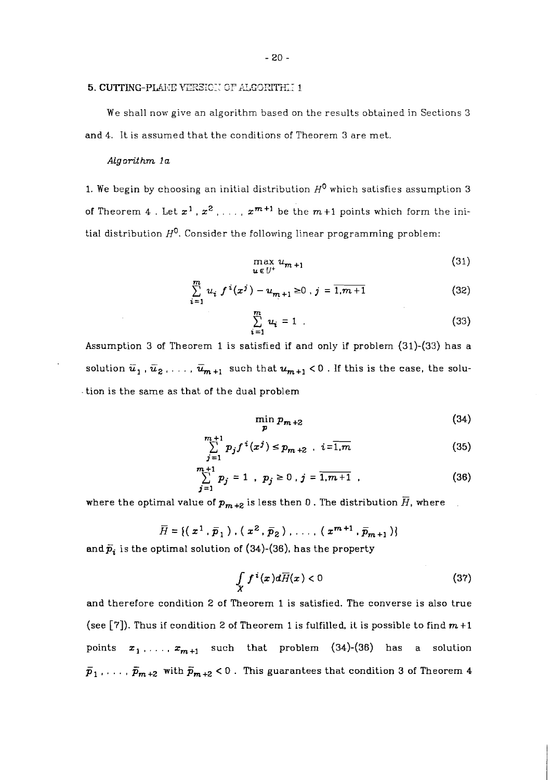## 5. CUTTING-PLANE VERSICN OF ALGORITH.11

We shall now give an algorithm based on the results obtained in Sections **3**  and 4. It is assumed that the conditions of Theorem 3 are met.

#### *Algorithm 1* **a**

1. We begin by choosing an initial distribution  $H^0$  which satisfies assumption 3 of Theorem  $4$ . Let  $x^1$ ,  $x^2$ ,  $\ldots$ ,  $x^{m+1}$  be the  $m+1$  points which form the initial distribution  $H^0$ . Consider the following linear programming problem:

$$
\max_{u \in U^+} u_{m+1} \tag{31}
$$

$$
\sum_{i=1}^{m} u_i f^{i}(x^j) - u_{m+1} \ge 0, j = \overline{1, m+1}
$$
 (32)

$$
\sum_{i=1}^{m} u_i = 1 \tag{33}
$$

Assumption **3** of Theorem **1** is satisfied if and only if problem **(31)-(33)** has a solution  $\bar{u}_1$ ,  $\bar{u}_2$ , ...,  $\bar{u}_{m+1}$  such that  $u_{m+1}$  < 0 . If this is the case, the solution is the same as that of the dual problem

$$
\min_{n} p_{m+2} \tag{34}
$$

$$
\sum_{j=1}^{m+1} p_j f^i(x^j) \le p_{m+2} \quad i = \overline{1,m} \tag{35}
$$

$$
\sum_{j=1}^{m+1} p_j = 1 , p_j \ge 0 , j = \overline{1, m+1} , \qquad (36)
$$

where the optimal value of  $p_{m+2}$  is less then 0. The distribution  $\overline{H}$ , where

$$
\overline{H} = \{ (x^1, \overline{p}_1), (x^2, \overline{p}_2), \ldots, (x^{m+1}, \overline{p}_{m+1}) \}
$$

and  $\bar{p}_i$  is the optimal solution of (34)-(36), has the property

$$
\int\limits_X f^i(x)d\overline{H}(x)<0
$$
\n(37)

and therefore condition 2 of Theorem **1** is satisfied. The converse is also true (see  $[7]$ ). Thus if condition 2 of Theorem 1 is fulfilled, it is possible to find  $m+1$ points  $x_1, \ldots, x_{m+1}$  such that problem (34)-(36) has a solution  $\bar{p}_1$ , . . . ,  $\bar{p}_{m+2}$  with  $\bar{p}_{m+2}$  < 0 . This guarantees that condition 3 of Theorem 4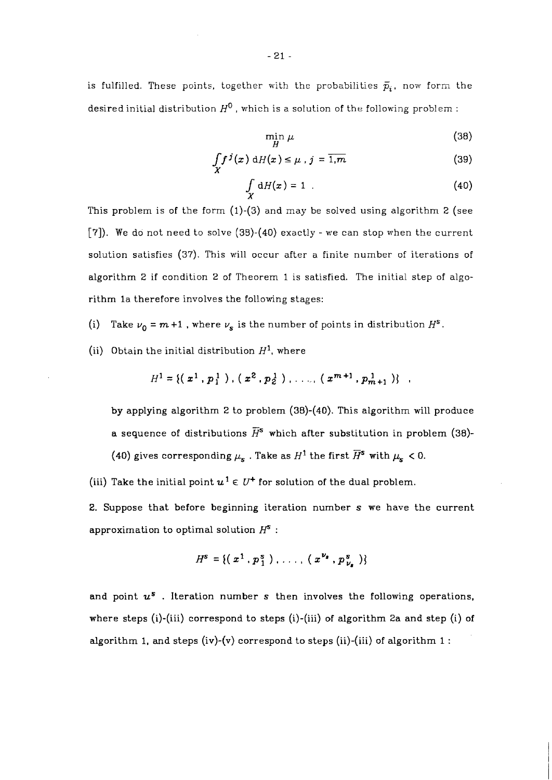is fulfilled. These points, together with the probabilities  $\bar{p}_i$ , now form the desired initial distribution  $H^0$ , which is a solution of the following problem :

$$
\min_{H} \mu \tag{38}
$$

$$
\int_{X} f^{j}(x) dH(x) \leq \mu, j = \overline{1, m}
$$
 (39)

$$
\int_{\mathbf{Y}} dH(x) = 1 \tag{40}
$$

This problem is of the form  $(1)-(3)$  and may be solved using algorithm 2 (see **[7]).** We do not need to solve (38)-(40) exactly - we can stop when the current solution satisfies (37). This will occur after a finite number of iterations of algorithm 2 if condition 2 of Theorem 1 is satisfied. The initial step of algorithm la therefore involves the following stages:

- (i) Take  $v_0 = m + 1$ , where  $v_s$  is the number of points in distribution  $H^s$ .
- (ii) Obtain the initial distribution  $H^1$ , where

$$
H1 = \{ (x1, p11) , (x2, p21) , ..., (xm+1, pm+11) \} ,
$$

by applying algorithm 2 to problem (38)-(40). This algorithm will produce a sequence of distributions  $\overline{H}^s$  which after substitution in problem (38)-(40) gives corresponding  $\mu_{s}$  . Take as  $H^{1}$  the first  $\overline{H}^{s}$  with  $\mu_{s}$  < 0.

(iii) Take the initial point  $u^1 \in U^+$  for solution of the dual problem.

2. Suppose that before beginning iteration number s we have the current approximation to optimal solution  $H^s$ :

$$
H^{s} = \{ (\;x^{1} \;,\; p_{1}^{s} \;)\;,\; \ldots ,\; (\;x^{\nu_{s}} \;,\; p_{\nu_{a}}^{s} \;)\}
$$

and point **us** . Iteration number **s** then involves the following operations, where steps (i)-(iii) correspond to steps (i)-(iii) of algorithm 2a and step (i) of algorithm 1, and steps (iv)-(v) correspond to steps (ii)-(iii) of algorithm  $1$ :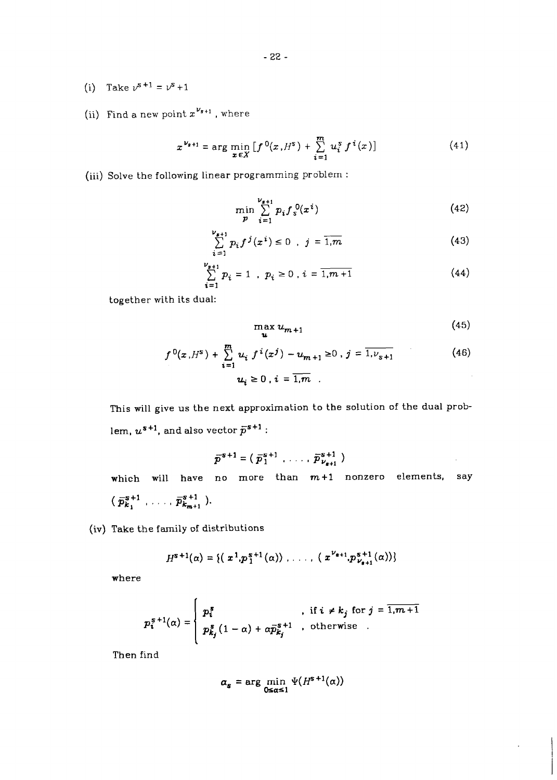- (i) Take  $v^{s+1} = v^s + 1$
- (ii) Find a new point  $x^{\nu_{s+1}}$ , where

$$
x^{\nu_{s+1}} = \arg\min_{x \in X} \left[ f^{0}(x, H^{s}) + \sum_{i=1}^{m} u_{i}^{s} f^{i}(x) \right]
$$
(41)

(iii) Solve the following linear programming problem :

$$
\min_{p} \sum_{i=1}^{\nu_{s+1}} p_i f_s^0(x^i) \tag{42}
$$

$$
\sum_{i=1}^{\nu_{s+1}} p_i f^j(x^i) \le 0 \quad , \quad j = \overline{1, m} \tag{43}
$$

$$
\sum_{i=1}^{\nu_{s+1}} p_i = 1 , p_i \ge 0 , i = \overline{1, m+1}
$$
 (44)

together with its dual:

$$
\max_{\mathbf{u}} u_{m+1} \tag{45}
$$

÷.

$$
f^{0}(x, H^{s}) + \sum_{i=1}^{m} u_{i} f^{i}(x^{j}) - u_{m+1} \ge 0, j = \overline{1, \nu_{s+1}}
$$
\n
$$
u_{i} \ge 0, i = \overline{1, m}
$$
\n(46)

This will give us the next approximation to the solution of the dual problem,  $u^{s+1}$ , and also vector  $\bar{p}^{s+1}$ :

$$
\overline{p}^{s+1} = (\overline{p}_1^{s+1}, \ldots, \overline{p}_{\nu_{s+1}}^{s+1})
$$

which will have no more than  $m+1$  nonzero elements, say  $(\bar{p}_{k_1}^{s+1}, \ldots, \bar{p}_{k_{m+1}}^{s+1}).$  $\mu_{k_{m+1}}$ 

(iv) **Take** the family of distributions

$$
H^{s+1}(\alpha) = \{ (x^1, p_1^{s+1}(\alpha)) , \ldots , (x^{\nu_{s+1}}, p_{\nu_{s+1}}^{s+1}(\alpha)) \}
$$

where

$$
p_i^{s+1}(\alpha) = \begin{cases} p_i^s, & \text{if } i \neq k_j \text{ for } j = \overline{1,m+1} \\ p_{k_j}^s (1-\alpha) + \alpha \overline{p}_{k_j}^{s+1}, & \text{otherwise} \end{cases}
$$

Then find

$$
\alpha_s = \arg\min_{0 \leq \alpha \leq 1} \Psi(H^{s+1}(\alpha))
$$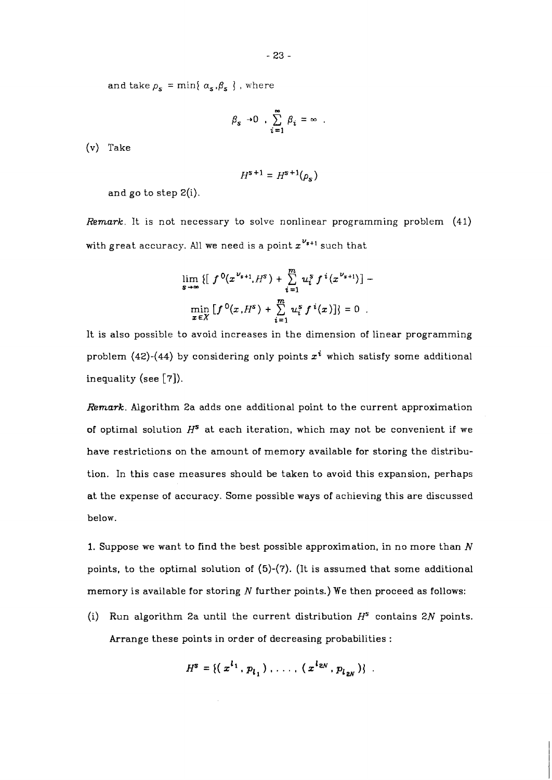and take  $\rho_s = \min\{ \alpha_s, \beta_s \}$ , where

$$
\beta_s \to 0 \quad , \sum_{i=1}^{\infty} \beta_i = \infty \quad .
$$

(v) Take

$$
H^{\mathbf{s}+\mathbf{1}}=H^{\mathbf{s}+\mathbf{1}}(\rho_{\mathbf{s}})
$$

and go to step 2(i).

*Remark.* It is not necessary to solve nonlinear programming problem (41) with great accuracy. All we need is a point  $x^{\nu_{s+1}}$  such that

$$
\lim_{s \to \infty} \{ [f^{0}(x^{v_{s+1}}, H^s) + \sum_{i=1}^{m} u_i^{s} f^{i}(x^{v_{s+1}})] - \newline \min_{x \in X} [f^{0}(x, H^s) + \sum_{i=1}^{m} u_i^{s} f^{i}(x)] \} = 0.
$$

It is also possible to avoid increases in the dimension of linear programming problem (42)-(44) by considering only points  $x^{i}$  which satisfy some additional inequality (see [7]).

*Remark.* Algorithm 2a adds one additional point to the current approximation of optimal solution **HS** at each iteration, which may not be convenient if we have restrictions on the amount of memory available for storing the distribution. In this case measures should be taken to avoid this expansion, perhaps at the expense of accuracy. Some possible ways of achieving this are discussed below.

1. Suppose we want to find the best possible approximation, in no more than **N**  points, to the optimal solution of (5)-(7). (It is assumed that some additional memory is available for storing  $N$  further points.) We then proceed as follows:

(i) Run algorithm 2a until the current distribution  $H^s$  contains 2N points. Arrange these points in order of decreasing probabilities :

$$
H^{s} = \{ (x^{l_1}, p_{l_1}), \ldots, (x^{l_{2N}}, p_{l_{2N}}) \} .
$$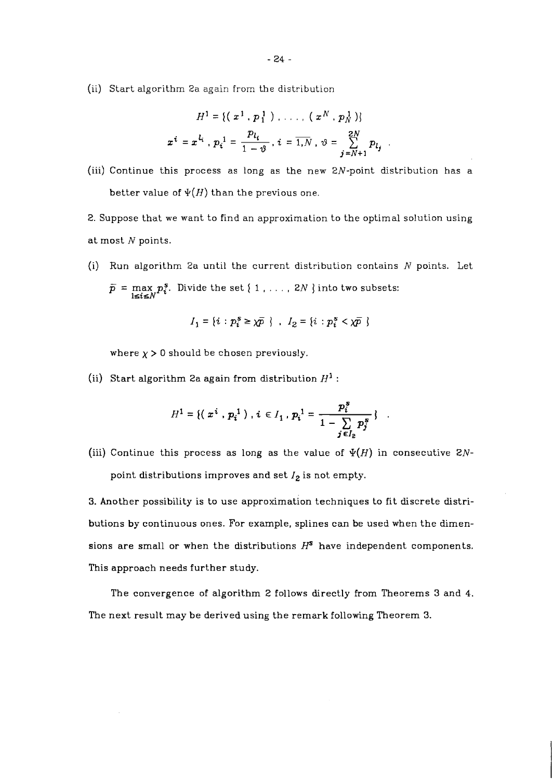(ii) Start algorithm 2a again from the distribution

$$
H^{1} = \{ (\begin{array}{c} x^{1} \cdot p_{1}^{1} \end{array}) \ldots , (\begin{array}{c} x^{N} \cdot p_{N}^{1} \end{array}) \}
$$

$$
x^{i} = x^{l_{i}} \cdot p_{i}^{1} = \frac{p_{l_{i}}}{1 - \vartheta} , i = \overline{1, N} , \vartheta = \sum_{j=N+1}^{2N} p_{l_{j}}
$$

(iii) Continue this process as long as the new ZN-point distribution has a better value of  $\Psi(H)$  than the previous one.

2. Suppose that we want to find an approximation to the optimal solution using at most  $N$  points.

(i) Run algorithm 2a until the current distribution contains *N* points. Let  $\bar{p}$  = max  $p_i^s$ . Divide the set { 1 , . . . , 2*N* } into two subsets:  $\overline{\mathbf{B}}$  **l**sis $N'$ 

$$
I_1 = \{i : p_i^s \ge \chi \overline{p} \} , I_2 = \{i : p_i^s < \chi \overline{p} \}
$$

where  $\chi > 0$  should be chosen previously.

(ii) Start algorithm 2a again from distribution  $H^1$  :

$$
H^{1} = \{ \left( x^{i} \cdot p_{i}^{1} \right) , i \in I_{1} \cdot p_{i}^{1} = \frac{p_{i}^{s}}{1 - \sum_{j \in I_{P}} p_{j}^{s}} \}
$$

(iii) Continue this process as long as the value of  $\Psi(H)$  in consecutive 2Npoint distributions improves and set **I2** is not empty.

**3.** Another possibility is to use approximation techniques to fit discrete distributions by continuous ones. For example, splines can be used when the dimensions are small or when the distributions  $H<sup>s</sup>$  have independent components. This approach needs further study.

The convergence of algorithm 2 follows directly from Theorems **3** and 4. The next result may be derived using the remark following Theorem **3.**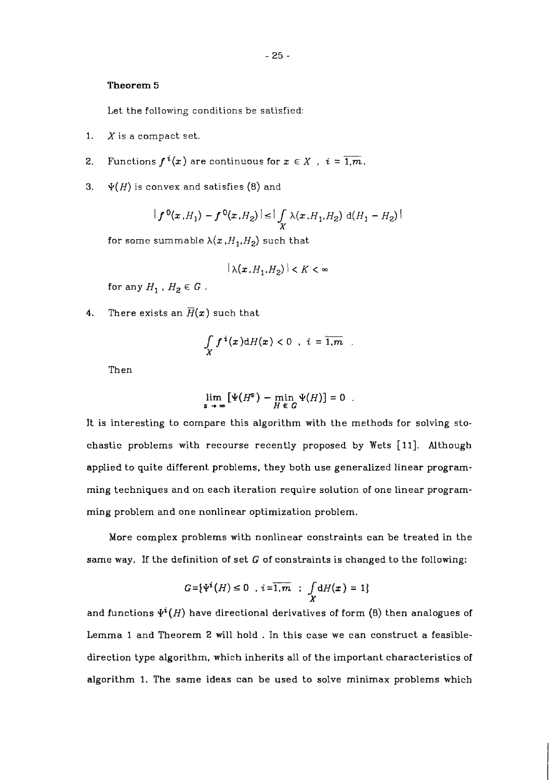### **Theorem** *5*

Let the following conditions be satisfied:

- 1.  $X$  is a compact set.
- **2.** Functions  $f^{i}(x)$  are continuous for  $x \in X$ ,  $i = \overline{1,m}$ .
- **3.**  $\Psi(H)$  is convex and satisfies (8) and

$$
|f^{0}(x,H_{1})-f^{0}(x,H_{2})| \leq | \int \limits_{X} \lambda(x,H_{1},H_{2}) \, d(H_{1}-H_{2})|
$$

for some summable  $\lambda(x,H_1,H_2)$  such that

$$
|\lambda(x,H_1,H_2)| < K < \infty
$$

for any  $H_1$  ,  $H_2 \in G$  .

**4.** There exists an  $\overline{H}(x)$  such that

$$
\int_X f^i(x) \mathrm{d}H(x) < 0 \quad i = \overline{1,m} \quad .
$$

Then

$$
\lim_{s\to\infty}\left[\Psi(H^s)-\min_{H\in G}\Psi(H)\right]=0.
$$

It is interesting to compare this algorithm with the methods for solving stochastic problems with recourse recently proposed by Wets [11]. Although applied to quite different problems, they both use generalized linear programming techniques and on each iteration require solution of one linear programming problem and one nonlinear optimization problem.

More complex problems with nonlinear constraints can be treated in the same way. If the definition of set  $G$  of constraints is changed to the following:

$$
G = \{ \Psi^{i}(H) \leq 0 \; , \; i = \overline{1, m} \; ; \; \int_{X} dH(x) = 1 \}
$$

and functions  $\Psi^{i}(H)$  have directional derivatives of form  $(8)$  then analogues of Lemma 1 and Theorem 2 will hold . In this case we can construct a feasibledirection type algorithm, which inherits all of the important characteristics of algorithm 1. The same ideas can be used to solve minimax problems which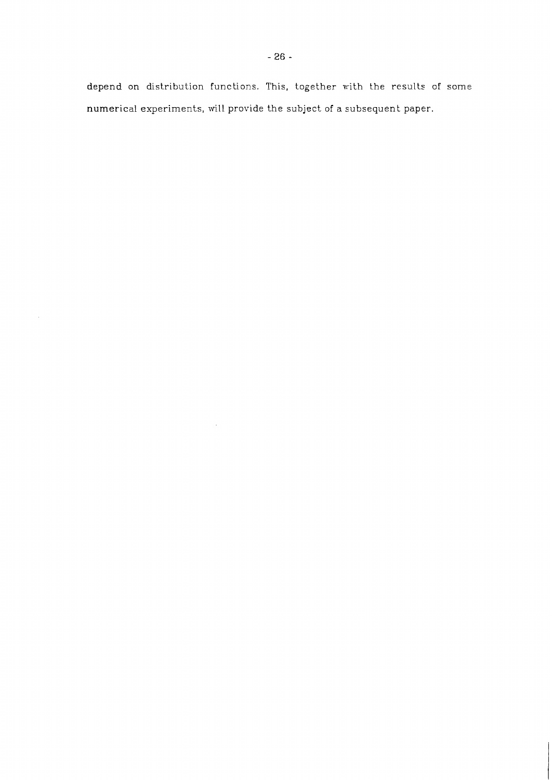depend on distribution functions. This, together with the results of some numerical experiments, will provide the subject of a subsequent paper.

 $\hat{\mathcal{A}}$ 

 $\hat{\boldsymbol{\beta}}$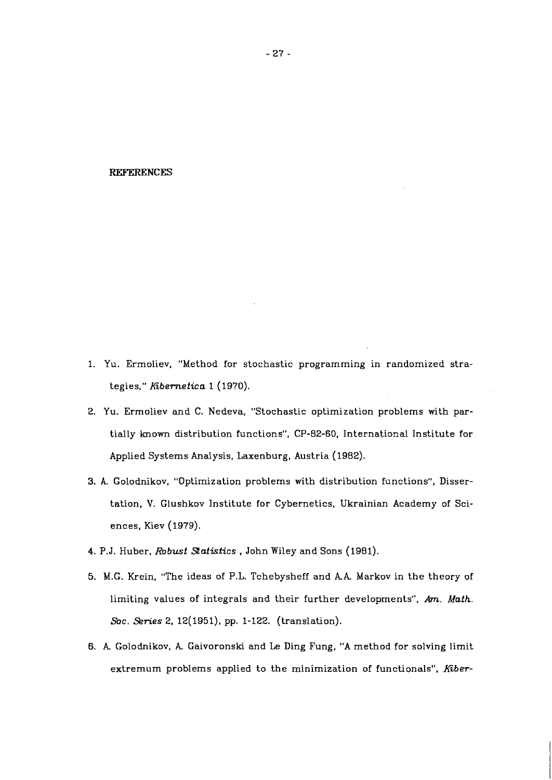#### **REFERENCES**

- 1. Yu. Ermoliev, "Method for stochastic programming in randomized strategies," Kibernetica 1 (1970).
- 2. Yu. Ermoliev and C. Nedeva, "Stochastic optimization problems with partially known distribution functions", CP-82-60, International Institute for Applied Systems Analysis, Laxenburg, Austria (1982).
- **3. A.** Golodnikov, "Optimization problems with distribution functions", Dissertation, V. Glushkov Institute for Cybernetics, Ukrainian Academy of Sciences, Kiev (1979).
- 4. P.J. Huber, Robust Statistics, John Wiley and Sons (1981).
- 5. M.G. Krein, "The ideas of P.L. Tchebysheff and **AA** Markov in the theory of limiting values of integrals and their further developments", **Am.** Math. Soc. Series 2, 12(1951), pp. 1-122. (translation).
- 6. **A** Golodnikov, **A** Gaivoronski and Le Ding Fung, "A method for solving limit extremum problems applied to the minimization of functionals", Kiber-